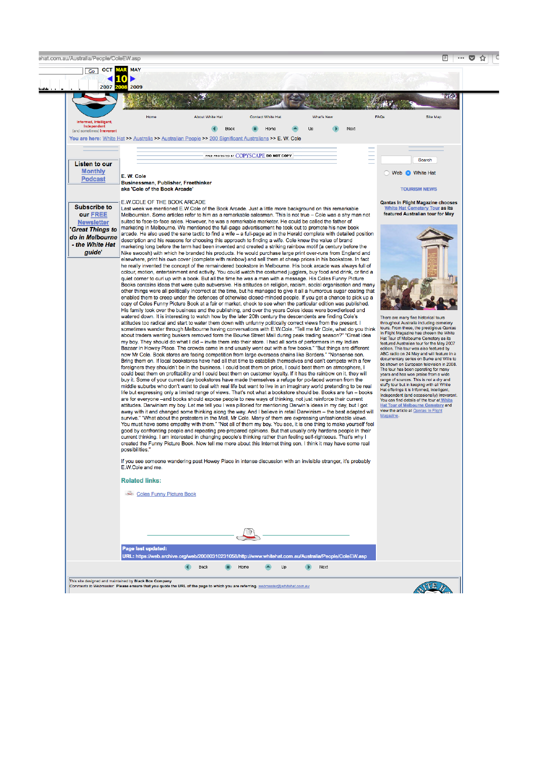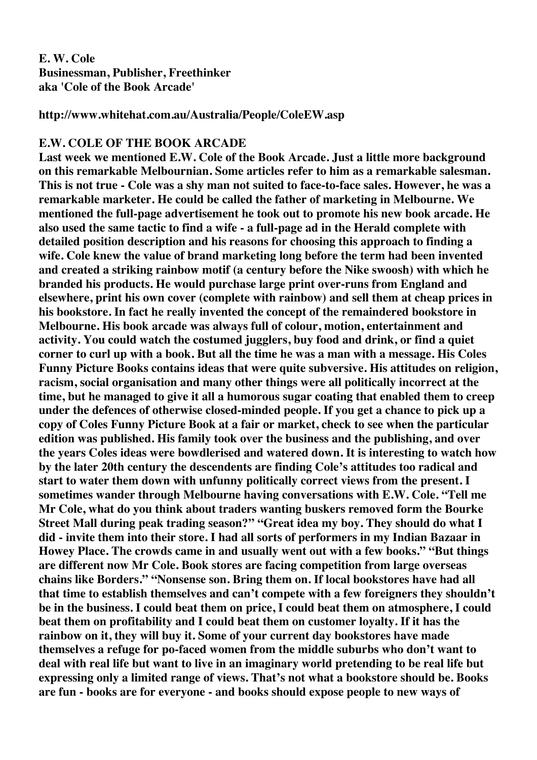# **E. W. Cole Businessman, Publisher, Freethinker aka 'Cole of the Book Arcade'**

**http://www.whitehat.com.au/Australia/People/ColeEW.asp**

## **E.W. COLE OF THE BOOK ARCADE**

**Last week we mentioned E.W. Cole of the Book Arcade. Just a little more background on this remarkable Melbournian. Some articles refer to him as a remarkable salesman. This is not true - Cole was a shy man not suited to face-to-face sales. However, he was a remarkable marketer. He could be called the father of marketing in Melbourne. We mentioned the full-page advertisement he took out to promote his new book arcade. He also used the same tactic to find a wife - a full-page ad in the Herald complete with detailed position description and his reasons for choosing this approach to finding a wife. Cole knew the value of brand marketing long before the term had been invented and created a striking rainbow motif (a century before the Nike swoosh) with which he branded his products. He would purchase large print over-runs from England and elsewhere, print his own cover (complete with rainbow) and sell them at cheap prices in his bookstore. In fact he really invented the concept of the remaindered bookstore in Melbourne. His book arcade was always full of colour, motion, entertainment and activity. You could watch the costumed jugglers, buy food and drink, or find a quiet corner to curl up with a book. But all the time he was a man with a message. His Coles Funny Picture Books contains ideas that were quite subversive. His attitudes on religion, racism, social organisation and many other things were all politically incorrect at the time, but he managed to give it all a humorous sugar coating that enabled them to creep under the defences of otherwise closed-minded people. If you get a chance to pick up a copy of Coles Funny Picture Book at a fair or market, check to see when the particular edition was published. His family took over the business and the publishing, and over the years Coles ideas were bowdlerised and watered down. It is interesting to watch how by the later 20th century the descendents are finding Cole's attitudes too radical and start to water them down with unfunny politically correct views from the present. I sometimes wander through Melbourne having conversations with E.W. Cole. "Tell me Mr Cole, what do you think about traders wanting buskers removed form the Bourke Street Mall during peak trading season?" "Great idea my boy. They should do what I did - invite them into their store. I had all sorts of performers in my Indian Bazaar in Howey Place. The crowds came in and usually went out with a few books." "But things are different now Mr Cole. Book stores are facing competition from large overseas chains like Borders." "Nonsense son. Bring them on. If local bookstores have had all that time to establish themselves and can't compete with a few foreigners they shouldn't be in the business. I could beat them on price, I could beat them on atmosphere, I could beat them on profitability and I could beat them on customer loyalty. If it has the rainbow on it, they will buy it. Some of your current day bookstores have made themselves a refuge for po-faced women from the middle suburbs who don't want to deal with real life but want to live in an imaginary world pretending to be real life but expressing only a limited range of views. That's not what a bookstore should be. Books are fun - books are for everyone - and books should expose people to new ways of**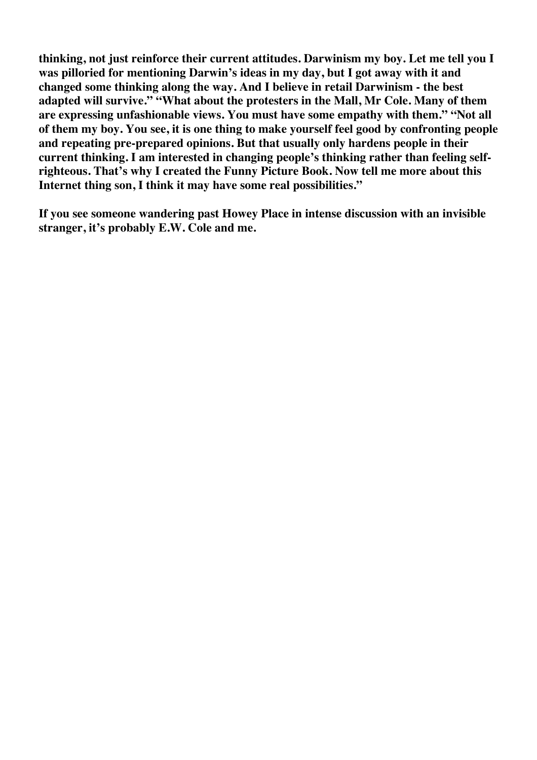**thinking, not just reinforce their current attitudes. Darwinism my boy. Let me tell you I was pilloried for mentioning Darwin's ideas in my day, but I got away with it and changed some thinking along the way. And I believe in retail Darwinism - the best adapted will survive." "What about the protesters in the Mall, Mr Cole. Many of them are expressing unfashionable views. You must have some empathy with them." "Not all of them my boy. You see, it is one thing to make yourself feel good by confronting people and repeating pre-prepared opinions. But that usually only hardens people in their current thinking. I am interested in changing people's thinking rather than feeling selfrighteous. That's why I created the Funny Picture Book. Now tell me more about this Internet thing son, I think it may have some real possibilities."**

**If you see someone wandering past Howey Place in intense discussion with an invisible stranger, it's probably E.W. Cole and me.**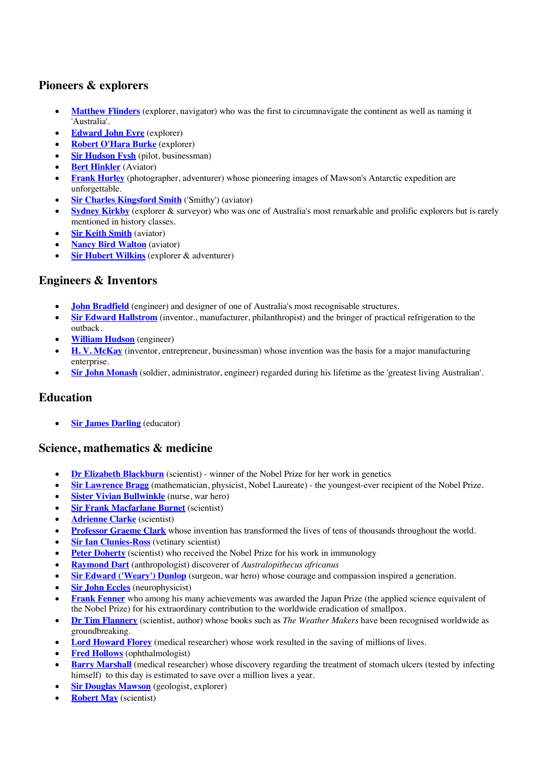# **Pioneers & explorers**

- **Matthew Flinders** (explorer, navigator) who was the first to circumnavigate the continent as well as naming it 'Australia'.
- **Edward John Eyre** (explorer)
- **Robert O'Hara Burke** (explorer)
- **Sir Hudson Fysh** (pilot, businessman)
- **Bert Hinkler** (Aviator)
- **Frank Hurley** (photographer, adventurer) whose pioneering images of Mawson's Antarctic expedition are unforgettable.
- **Sir Charles Kingsford Smith** ('Smithy') (aviator)
- **Sydney Kirkby** (explorer & surveyor) who was one of Australia's most remarkable and prolific explorers but is rarely mentioned in history classes.
- **Sir Keith Smith (aviator)**
- **Nancy Bird Walton** (aviator)
- **Sir Hubert Wilkins** (explorer & adventurer)

## **Engineers & Inventors**

- **John Bradfield** (engineer) and designer of one of Australia's most recognisable structures.
- **Sir Edward Hallstrom** (inventor., manufacturer, philanthropist) and the bringer of practical refrigeration to the outback.
- **William Hudson** (engineer)
- **H. V. McKay** (inventor, entrepreneur, businessman) whose invention was the basis for a major manufacturing enterprise.
- **Sir John Monash** (soldier, administrator, engineer) regarded during his lifetime as the 'greatest living Australian'.

#### **Education**

**Sir James Darling** (educator)

# **Science, mathematics & medicine**

- **Dr Elizabeth Blackburn** (scientist) winner of the Nobel Prize for her work in genetics
- **Sir Lawrence Bragg** (mathematician, physicist, Nobel Laureate) the youngest-ever recipient of the Nobel Prize*.*
- **Sister Vivian Bullwinkle** (nurse, war hero)
- **Sir Frank Macfarlane Burnet** (scientist)
- **Adrienne Clarke** (scientist)
- **Professor Graeme Clark** whose invention has transformed the lives of tens of thousands throughout the world.
- **Sir Ian Clunies-Ross** (vetinary scientist)
- **Peter Doherty** (scientist) who received the Nobel Prize for his work in immunology
- **Raymond Dart** (anthropologist) discoverer of *Australopithecus africanus*
- **Sir Edward ('Weary') Dunlop** (surgeon, war hero) whose courage and compassion inspired a generation.
- **Sir John Eccles** (neurophysicist)
- **Frank Fenner** who among his many achievements was awarded the Japan Prize (the applied science equivalent of the Nobel Prize) for his extraordinary contribution to the worldwide eradication of smallpox.
- **Dr Tim Flannery** (scientist, author) whose books such as *The Weather Makers* have been recognised worldwide as groundbreaking.
- **Lord Howard Florey** (medical researcher) whose work resulted in the saving of millions of lives.
- **Fred Hollows** (ophthalmologist)
- **Barry Marshall** (medical researcher) whose discovery regarding the treatment of stomach ulcers (tested by infecting himself) to this day is estimated to save over a million lives a year.
- **Sir Douglas Mawson** (geologist, explorer)
- **Robert May** (scientist)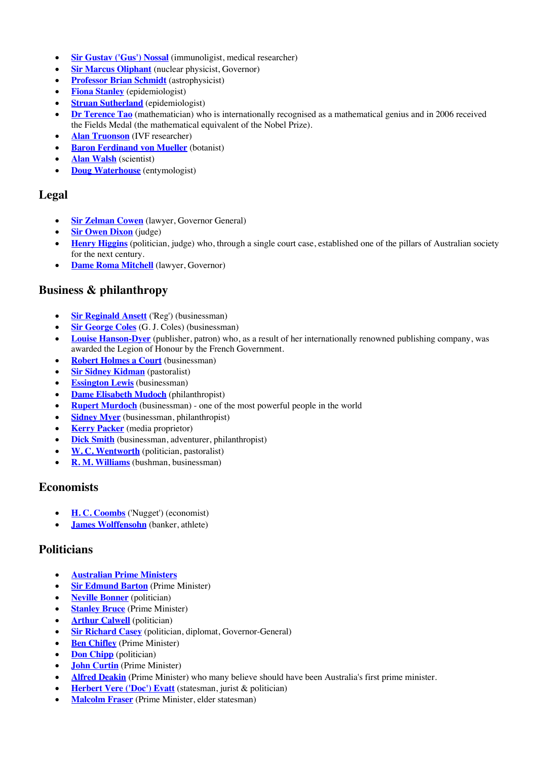- **Sir Gustav ('Gus') Nossal** (immunoligist, medical researcher)
- **Sir Marcus Oliphant** (nuclear physicist, Governor)
- **Professor Brian Schmidt** (astrophysicist)
- **Fiona Stanley** (epidemiologist)
- **<u>Struan Sutherland</u>** (epidemiologist)
- **Dr Terence Tao** (mathematician) who is internationally recognised as a mathematical genius and in 2006 received the Fields Medal (the mathematical equivalent of the Nobel Prize).
- **Alan Truonson** (IVF researcher)
- **Baron Ferdinand von Mueller** (botanist)
- **Alan Walsh** (scientist)
- **Doug Waterhouse** (entymologist)

## **Legal**

- **Sir Zelman Cowen** (lawyer, Governor General)
- **<u>Sir Owen Dixon</u>** (judge)
- **Henry Higgins** (politician, judge) who, through a single court case, established one of the pillars of Australian society for the next century.
- **Dame Roma Mitchell** (lawyer, Governor)

# **Business & philanthropy**

- **Sir Reginald Ansett** ('Reg') (businessman)
- **Sir George Coles** (G. J. Coles) (businessman)
- **Louise Hanson-Dyer** (publisher, patron) who, as a result of her internationally renowned publishing company, was awarded the Legion of Honour by the French Government.
- **Robert Holmes a Court** (businessman)
- **Sir Sidney Kidman** (pastoralist)
- **Essington Lewis** (businessman)
- **Dame Elisabeth Mudoch** (philanthropist)
- **Rupert Murdoch** (businessman) one of the most powerful people in the world
- **Sidney Myer** (businessman, philanthropist)
- **Kerry Packer** (media proprietor)
- **Dick Smith** (businessman, adventurer, philanthropist)
- **W. C. Wentworth** (politician, pastoralist)
- **R. M. Williams** (bushman, businessman)

#### **Economists**

- **H. C. Coombs** ('Nugget') (economist)
- **James Wolffensohn** (banker, athlete)

# **Politicians**

- **Australian Prime Ministers**
- **<u>Sir Edmund Barton</u>** (Prime Minister)
- **Neville Bonner** (politician)
- **Stanley Bruce** (Prime Minister)
- **Arthur Calwell** (politician)
- **Sir Richard Casey** (politician, diplomat, Governor-General)
- **Ben Chifley** (Prime Minister)
- **Don Chipp** (politician)
- **John Curtin** (Prime Minister)
- **Alfred Deakin** (Prime Minister) who many believe should have been Australia's first prime minister.
- **Herbert Vere ('Doc') Evatt** (statesman, jurist & politician)
- **Malcolm Fraser** (Prime Minister, elder statesman)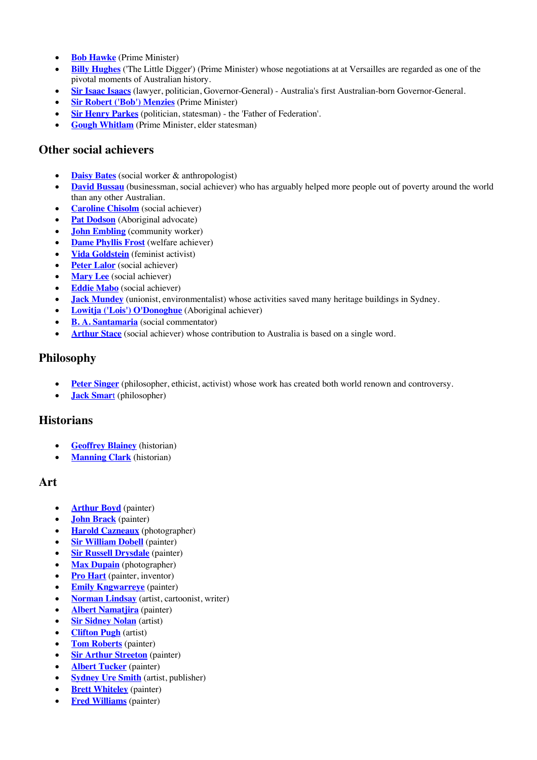- **Bob Hawke** (Prime Minister)
- **Billy Hughes** ('The Little Digger') (Prime Minister) whose negotiations at at Versailles are regarded as one of the pivotal moments of Australian history.
- **Sir Isaac Isaacs** (lawyer, politician, Governor-General) Australia's first Australian-born Governor-General.
- **Sir Robert ('Bob') Menzies** (Prime Minister)
- **Sir Henry Parkes** (politician, statesman) the 'Father of Federation'.
- **Gough Whitlam** (Prime Minister, elder statesman)

#### **Other social achievers**

- **Daisy Bates** (social worker & anthropologist)
- **David Bussau** (businessman, social achiever) who has arguably helped more people out of poverty around the world than any other Australian.
- **Caroline Chisolm** (social achiever)
- **Pat Dodson** (Aboriginal advocate)
- **John Embling** (community worker)
- **Dame Phyllis Frost** (welfare achiever)
- **Vida Goldstein** (feminist activist)
- **Peter Lalor** (social achiever)
- **Mary Lee** (social achiever)
- **Eddie Mabo** (social achiever)
- **Jack Mundey** (unionist, environmentalist) whose activities saved many heritage buildings in Sydney.
- **Lowitja ('Lois') O'Donoghue** (Aboriginal achiever)
- **B. A. Santamaria** (social commentator)
- **Arthur Stace** (social achiever) whose contribution to Australia is based on a single word.

#### **Philosophy**

- **Peter Singer** (philosopher, ethicist, activist) whose work has created both world renown and controversy.
- **Jack Smar**t (philosopher)

#### **Historians**

- **Geoffrey Blainey** (historian)
- **Manning Clark** (historian)

#### **Art**

- **Arthur Boyd** (painter)
- **John Brack** (painter)
- **Harold Cazneaux** (photographer)
- **Sir William Dobell** (painter)
- **Sir Russell Drysdale** (painter)
- **Max Dupain** (photographer)
- **Pro Hart** (painter, inventor)
- **Emily Kngwarreye** (painter)
- **Norman Lindsay** (artist, cartoonist, writer)
- **Albert Namatjira** (painter)
- **Sir Sidney Nolan** (artist)
- **Clifton Pugh** (artist)
- **Tom Roberts** (painter)
- **Sir Arthur Streeton** (painter)
- **Albert Tucker** (painter)
- **Sydney Ure Smith** (artist, publisher)
- **Brett Whiteley** (painter)
- **Fred Williams** (painter)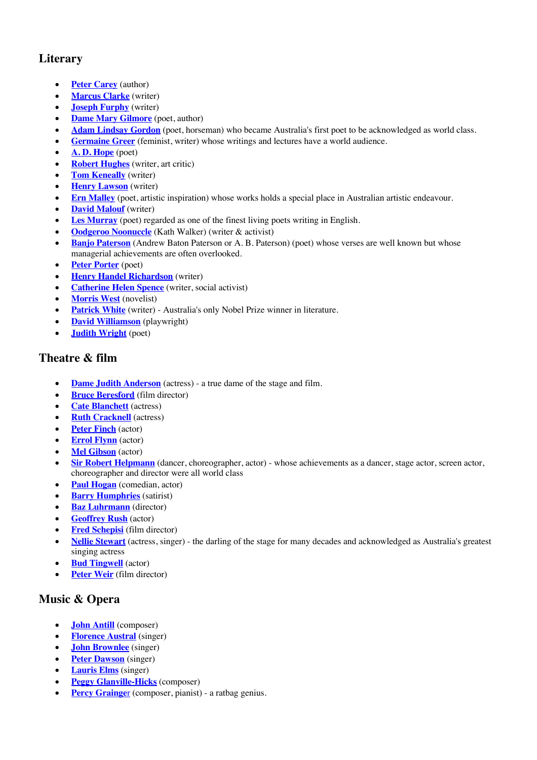# **Literary**

- **Peter Carey** (author)
- **Marcus Clarke** (writer)
- **Joseph Furphy** (writer)
- **Dame Mary Gilmore** (poet, author)
- **Adam Lindsay Gordon** (poet, horseman) who became Australia's first poet to be acknowledged as world class.
- **Germaine Greer** (feminist, writer) whose writings and lectures have a world audience.
- **A. D. Hope** (poet)
- **Robert Hughes** (writer, art critic)
- **Tom Keneally** (writer)
- **Henry Lawson** (writer)
- **Ern Malley** (poet, artistic inspiration) whose works holds a special place in Australian artistic endeavour.
- **David Malouf** (writer)
- **Les Murray** (poet) regarded as one of the finest living poets writing in English.
- **Oodgeroo Noonuccle** (Kath Walker) (writer & activist)
- **Banjo Paterson** (Andrew Baton Paterson or A. B. Paterson) (poet) whose verses are well known but whose managerial achievements are often overlooked.
- **Peter Porter** (poet)
- **Henry Handel Richardson** (writer)
- **Catherine Helen Spence** (writer, social activist)
- **Morris West** (novelist)
- **Patrick White** (writer) Australia's only Nobel Prize winner in literature.
- **David Williamson** (playwright)
- **Judith Wright** (poet)

# **Theatre & film**

- **Dame Judith Anderson** (actress) a true dame of the stage and film.
- **Bruce Beresford** (film director)
- **Cate Blanchett** (actress)
- **Ruth Cracknell** (actress)
- **Peter Finch** (actor)
- **Errol Flynn** (actor)
- **Mel Gibson** (actor)
- **Sir Robert Helpmann** (dancer, choreographer, actor) whose achievements as a dancer, stage actor, screen actor, choreographer and director were all world class
- **Paul Hogan** (comedian, actor)
- **Barry Humphries** (satirist)
- **Baz Luhrmann** (director)
- **Geoffrey Rush** (actor)
- **Fred Schepisi** (film director)
- **Nellie Stewart** (actress, singer) the darling of the stage for many decades and acknowledged as Australia's greatest singing actress
- **Bud Tingwell** (actor)
- **Peter Weir** (film director)

# **Music & Opera**

- **John Antill** (composer)
- **Florence Austral** (singer)
- **John Brownlee** (singer)
- **Peter Dawson** (singer)
- **Lauris Elms** (singer)
- **Peggy Glanville-Hicks** (composer)
- **Percy Grainger** (composer, pianist) a ratbag genius.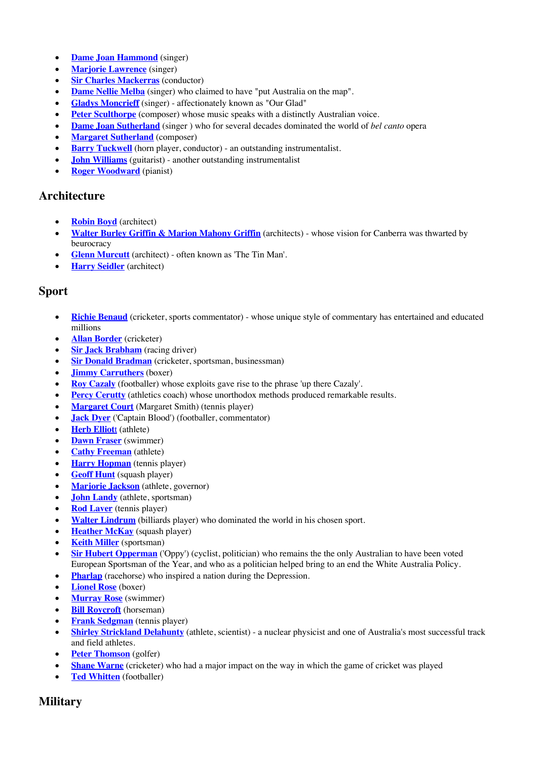- **Dame Joan Hammond** (singer)
- **Marjorie Lawrence** (singer)
- **Sir Charles Mackerras** (conductor)
- **Dame Nellie Melba** (singer) who claimed to have "put Australia on the map".
- **Gladys Moncrieff** (singer) affectionately known as "Our Glad"
- **Peter Sculthorpe** (composer) whose music speaks with a distinctly Australian voice.
- **Dame Joan Sutherland** (singer ) who for several decades dominated the world of *bel canto* opera
- **Margaret Sutherland** (composer)
- **Barry Tuckwell** (horn player, conductor) an outstanding instrumentalist.
- **John Williams** (guitarist) another outstanding instrumentalist
- **Roger Woodward** (pianist)

#### **Architecture**

- **Robin Boyd** (architect)
- **Walter Burley Griffin & Marion Mahony Griffin** (architects) whose vision for Canberra was thwarted by beurocracy
- **Glenn Murcutt** (architect) often known as 'The Tin Man'.
- **Harry Seidler** (architect)

#### **Sport**

- **Richie Benaud** (cricketer, sports commentator) whose unique style of commentary has entertained and educated millions
- **Allan Border** (cricketer)
- **Sir Jack Brabham** (racing driver)
- **Sir Donald Bradman** (cricketer, sportsman, businessman)
- **Jimmy Carruthers** (boxer)
- **Roy Cazaly** (footballer) whose exploits gave rise to the phrase 'up there Cazaly'.
- **Percy Cerutty** (athletics coach) whose unorthodox methods produced remarkable results.
- **Margaret Court** (Margaret Smith) (tennis player)
- **Jack Dyer** ('Captain Blood') (footballer, commentator)
- **Herb Elliott** (athlete)
- **Dawn Fraser** (swimmer)
- **Cathy Freeman** (athlete)
- **Harry Hopman** (tennis player)
- **Geoff Hunt** (squash player)
- **Marjorie Jackson** (athlete, governor)
- **John Landy** (athlete, sportsman)
- **Rod Laver** (tennis player)
- **Walter Lindrum** (billiards player) who dominated the world in his chosen sport.
- **Heather McKay** (squash player)
- **Keith Miller** (sportsman)
- **Sir Hubert Opperman** ('Oppy') (cyclist, politician) who remains the the only Australian to have been voted European Sportsman of the Year, and who as a politician helped bring to an end the White Australia Policy.
- **Pharlap** (racehorse) who inspired a nation during the Depression.
- **Lionel Rose** (boxer)
- **Murray Rose** (swimmer)
- **Bill Roycroft** (horseman)
- **Frank Sedgman** (tennis player)
- **Shirley Strickland Delahunty** (athlete, scientist) a nuclear physicist and one of Australia's most successful track and field athletes.
- **Peter Thomson** (golfer)
- **Shane Warne** (cricketer) who had a major impact on the way in which the game of cricket was played
- **Ted Whitten** (footballer)

# **Military**